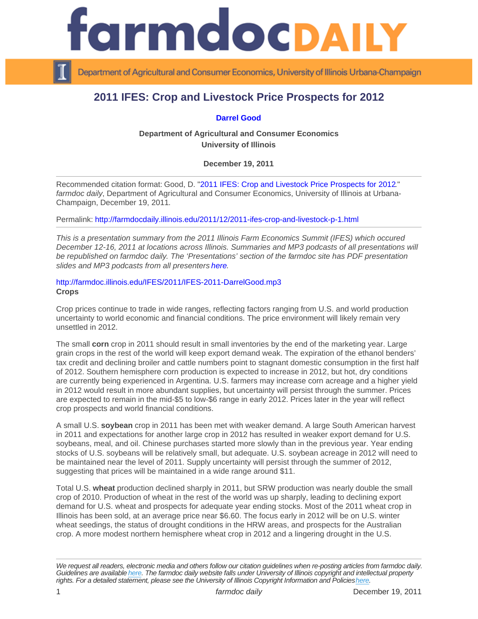## 2011 IFES: Crop and Livestock Price Prospects for 2012

[Darrel Good](http://farmdoc.illinois.edu/good/)

Department of Agricultural and Consumer Economics University of Illinois

December 19, 2011

Recommended citation format: Good, D. "[2011 IFES: Crop and Livestock Price Prospects for 2012](http://farmdocdaily.illinois.edu/2011/12/2011-ifes-crop-and-livestock-p-1.html)." farmdoc daily, Department of Agricultural and Consumer Economics, University of Illinois at Urbana-Champaign, December 19, 2011.

Permalink:<http://farmdocdaily.illinois.edu/2011/12/2011-ifes-crop-and-livestock-p-1.html>

This is a presentation summary from the 2011 Illinois Farm Economics Summit (IFES) which occured December 12-16, 2011 at locations across Illinois. Summaries and MP3 podcasts of all presentations will be republished on farmdoc daily. The 'Presentations' section of the farmdoc site has PDF presentation slides and MP3 podcasts from all presenters [here.](http://www.farmdoc.illinois.edu/presentations/IFES_2011/index.html)

<http://farmdoc.illinois.edu/IFES/2011/IFES-2011-DarrelGood.mp3> Crops

Crop prices continue to trade in wide ranges, reflecting factors ranging from U.S. and world production uncertainty to world economic and financial conditions. The price environment will likely remain very unsettled in 2012.

The small corn crop in 2011 should result in small inventories by the end of the marketing year. Large grain crops in the rest of the world will keep export demand weak. The expiration of the ethanol benders' tax credit and declining broiler and cattle numbers point to stagnant domestic consumption in the first half of 2012. Southern hemisphere corn production is expected to increase in 2012, but hot, dry conditions are currently being experienced in Argentina. U.S. farmers may increase corn acreage and a higher yield in 2012 would result in more abundant supplies, but uncertainty will persist through the summer. Prices are expected to remain in the mid-\$5 to low-\$6 range in early 2012. Prices later in the year will reflect crop prospects and world financial conditions.

A small U.S. soybean crop in 2011 has been met with weaker demand. A large South American harvest in 2011 and expectations for another large crop in 2012 has resulted in weaker export demand for U.S. soybeans, meal, and oil. Chinese purchases started more slowly than in the previous year. Year ending stocks of U.S. soybeans will be relatively small, but adequate. U.S. soybean acreage in 2012 will need to be maintained near the level of 2011. Supply uncertainty will persist through the summer of 2012, suggesting that prices will be maintained in a wide range around \$11.

Total U.S. wheat production declined sharply in 2011, but SRW production was nearly double the small crop of 2010. Production of wheat in the rest of the world was up sharply, leading to declining export demand for U.S. wheat and prospects for adequate year ending stocks. Most of the 2011 wheat crop in Illinois has been sold, at an average price near \$6.60. The focus early in 2012 will be on U.S. winter wheat seedings, the status of drought conditions in the HRW areas, and prospects for the Australian crop. A more modest northern hemisphere wheat crop in 2012 and a lingering drought in the U.S.

We request all readers, electronic media and others follow our citation guidelines when re-posting articles from farmdoc daily. Guidelines are available [here](http://farmdocdaily.illinois.edu/citationguide.html). The farmdoc daily website falls under University of Illinois copyright and intellectual property rights. For a detailed statement, please see the University of Illinois Copyright Information and Policies [here.](https://techservices.illinois.edu/office-cio)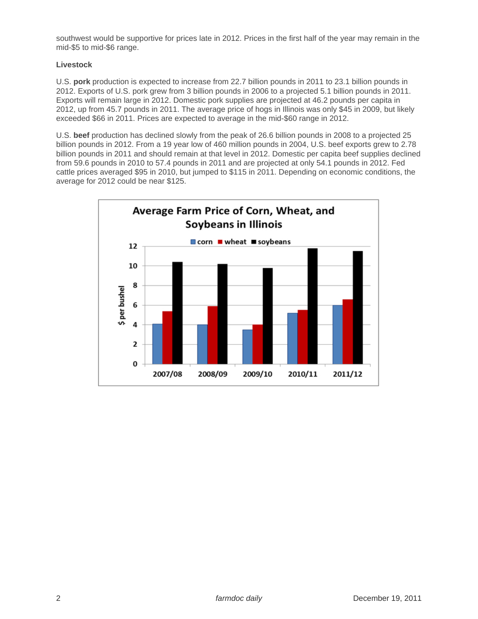southwest would be supportive for prices late in 2012. Prices in the first half of the year may remain in the mid-\$5 to mid-\$6 range.

## **Livestock**

U.S. **pork** production is expected to increase from 22.7 billion pounds in 2011 to 23.1 billion pounds in 2012. Exports of U.S. pork grew from 3 billion pounds in 2006 to a projected 5.1 billion pounds in 2011. Exports will remain large in 2012. Domestic pork supplies are projected at 46.2 pounds per capita in 2012, up from 45.7 pounds in 2011. The average price of hogs in Illinois was only \$45 in 2009, but likely exceeded \$66 in 2011. Prices are expected to average in the mid-\$60 range in 2012.

U.S. **beef** production has declined slowly from the peak of 26.6 billion pounds in 2008 to a projected 25 billion pounds in 2012. From a 19 year low of 460 million pounds in 2004, U.S. beef exports grew to 2.78 billion pounds in 2011 and should remain at that level in 2012. Domestic per capita beef supplies declined from 59.6 pounds in 2010 to 57.4 pounds in 2011 and are projected at only 54.1 pounds in 2012. Fed cattle prices averaged \$95 in 2010, but jumped to \$115 in 2011. Depending on economic conditions, the average for 2012 could be near \$125.